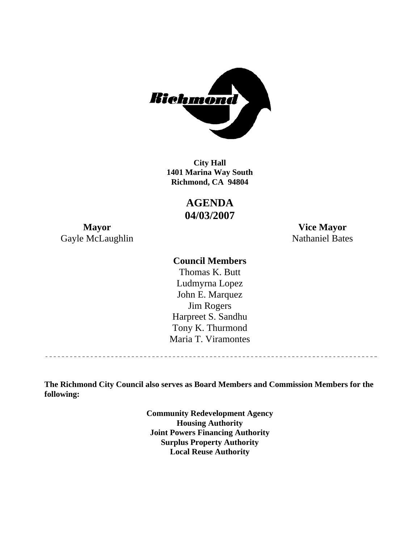

**1401 Marina Way South Richmond, CA 94804 City Hall** 

> **AGENDA 04/03/2007**

Gayle McLaughlin Nathaniel Bates

**Mayor Vice Mayor** 

#### **Council Members**

Harpreet S. Sandhu Tony K. Thurmond Maria T. Viramontes Thomas K. Butt Ludmyrna Lopez John E. Marquez Jim Rogers

**The Richmond City Council also serves as Board Members and Commission Members for the following:** 

> **Community Redevelopment Agency Housing Authority Joint Powers Financing Authority Surplus Property Authority Local Reuse Authority**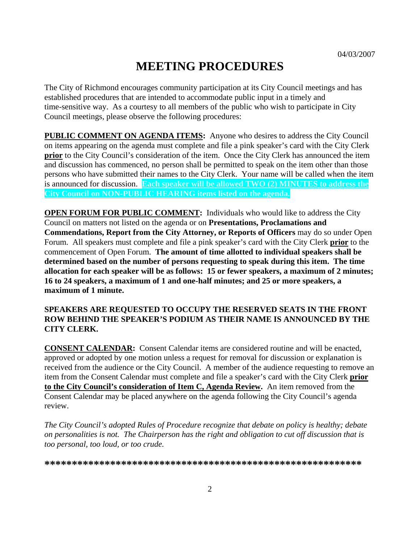# **MEETING PROCEDURES**

The City of Richmond encourages community participation at its City Council meetings and has established procedures that are intended to accommodate public input in a timely and time-sensitive way. As a courtesy to all members of the public who wish to participate in City Council meetings, please observe the following procedures:

**PUBLIC COMMENT ON AGENDA ITEMS:** Anyone who desires to address the City Council on items appearing on the agenda must complete and file a pink speaker's card with the City Clerk **prior** to the City Council's consideration of the item. Once the City Clerk has announced the item and discussion has commenced, no person shall be permitted to speak on the item other than those persons who have submitted their names to the City Clerk. Your name will be called when the item is announced for discussion. **Each speaker will be allowed TWO (2) MINUTES to address the City Council on NON-PUBLIC HEARING items listed on the agenda.** 

**OPEN FORUM FOR PUBLIC COMMENT:** Individuals who would like to address the City Council on matters not listed on the agenda or on **Presentations, Proclamations and Commendations, Report from the City Attorney, or Reports of Officers** may do so under Open Forum. All speakers must complete and file a pink speaker's card with the City Clerk **prior** to the commencement of Open Forum. **The amount of time allotted to individual speakers shall be determined based on the number of persons requesting to speak during this item. The time allocation for each speaker will be as follows: 15 or fewer speakers, a maximum of 2 minutes; 16 to 24 speakers, a maximum of 1 and one-half minutes; and 25 or more speakers, a maximum of 1 minute.** 

#### **SPEAKERS ARE REQUESTED TO OCCUPY THE RESERVED SEATS IN THE FRONT ROW BEHIND THE SPEAKER'S PODIUM AS THEIR NAME IS ANNOUNCED BY THE CITY CLERK.**

**CONSENT CALENDAR:** Consent Calendar items are considered routine and will be enacted, approved or adopted by one motion unless a request for removal for discussion or explanation is received from the audience or the City Council. A member of the audience requesting to remove an item from the Consent Calendar must complete and file a speaker's card with the City Clerk **prior to the City Council's consideration of Item C, Agenda Review.** An item removed from the Consent Calendar may be placed anywhere on the agenda following the City Council's agenda review.

*The City Council's adopted Rules of Procedure recognize that debate on policy is healthy; debate on personalities is not. The Chairperson has the right and obligation to cut off discussion that is too personal, too loud, or too crude.* 

**\*\*\*\*\*\*\*\*\*\*\*\*\*\*\*\*\*\*\*\*\*\*\*\*\*\*\*\*\*\*\*\*\*\*\*\*\*\*\*\*\*\*\*\*\*\*\*\*\*\*\*\*\*\*\*\*\*\***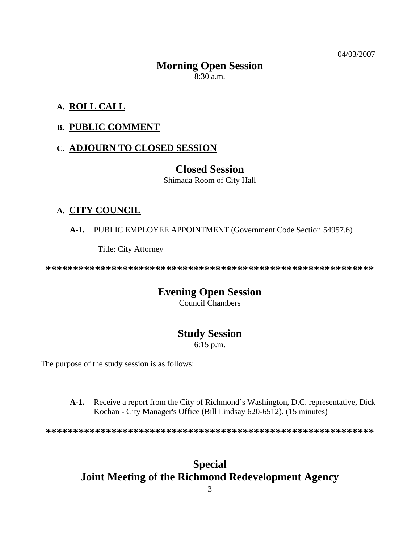04/03/2007

# **Morning Open Session**

8:30 a.m.

# **A. ROLL CALL**

# **B. PUBLIC COMMENT**

### **C. ADJOURN TO CLOSED SESSION**

# **Closed Session**

Shimada Room of City Hall

## **A. CITY COUNCIL**

**A-1.** PUBLIC EMPLOYEE APPOINTMENT (Government Code Section 54957.6)

Title: City Attorney

**\*\*\*\*\*\*\*\*\*\*\*\*\*\*\*\*\*\*\*\*\*\*\*\*\*\*\*\*\*\*\*\*\*\*\*\*\*\*\*\*\*\*\*\*\*\*\*\*\*\*\*\*\*\*\*\*\*\*\*\*** 

# **Evening Open Session**

Council Chambers

# **Study Session**

6:15 p.m.

The purpose of the study session is as follows:

**A-1.** Receive a report from the City of Richmond's Washington, D.C. representative, Dick Kochan - City Manager's Office (Bill Lindsay 620-6512). (15 minutes)

**\*\*\*\*\*\*\*\*\*\*\*\*\*\*\*\*\*\*\*\*\*\*\*\*\*\*\*\*\*\*\*\*\*\*\*\*\*\*\*\*\*\*\*\*\*\*\*\*\*\*\*\*\*\*\*\*\*\*\*\*** 

# **Special Joint Meeting of the Richmond Redevelopment Agency**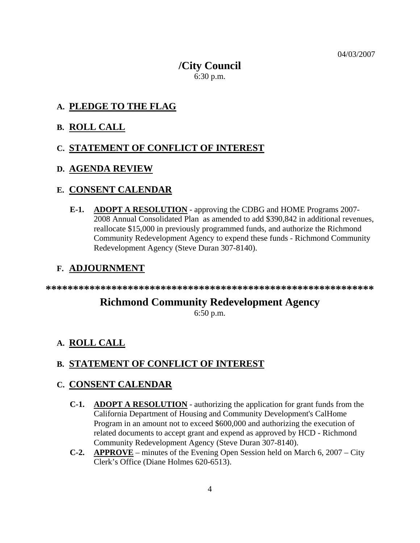04/03/2007

# **/City Council**

6:30 p.m.

# **A. PLEDGE TO THE FLAG**

### **B. ROLL CALL**

## **C. STATEMENT OF CONFLICT OF INTEREST**

## **D. AGENDA REVIEW**

### **E. CONSENT CALENDAR**

**E-1. ADOPT A RESOLUTION** - approving the CDBG and HOME Programs 2007- 2008 Annual Consolidated Plan as amended to add \$390,842 in additional revenues, reallocate \$15,000 in previously programmed funds, and authorize the Richmond Community Redevelopment Agency to expend these funds - Richmond Community Redevelopment Agency (Steve Duran 307-8140).

## **F. ADJOURNMENT**

**\*\*\*\*\*\*\*\*\*\*\*\*\*\*\*\*\*\*\*\*\*\*\*\*\*\*\*\*\*\*\*\*\*\*\*\*\*\*\*\*\*\*\*\*\*\*\*\*\*\*\*\*\*\*\*\*\*\*\*\*** 

# **Richmond Community Redevelopment Agency**

6:50 p.m.

# **A. ROLL CALL**

# **B. STATEMENT OF CONFLICT OF INTEREST**

### **C. CONSENT CALENDAR**

- **C-1. ADOPT A RESOLUTION** authorizing the application for grant funds from the California Department of Housing and Community Development's CalHome Program in an amount not to exceed \$600,000 and authorizing the execution of related documents to accept grant and expend as approved by HCD - Richmond Community Redevelopment Agency (Steve Duran 307-8140).
- **C-2. APPROVE** minutes of the Evening Open Session held on March 6, 2007 City Clerk's Office (Diane Holmes 620-6513).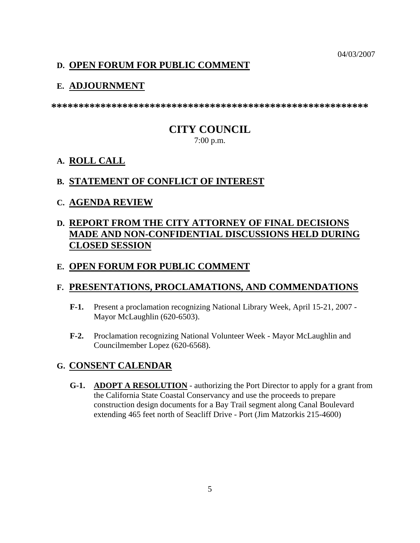04/03/2007

# **D. OPEN FORUM FOR PUBLIC COMMENT**

#### **E. ADJOURNMENT**

**\*\*\*\*\*\*\*\*\*\*\*\*\*\*\*\*\*\*\*\*\*\*\*\*\*\*\*\*\*\*\*\*\*\*\*\*\*\*\*\*\*\*\*\*\*\*\*\*\*\*\*\*\*\*\*\*\*\*** 

# **CITY COUNCIL**  7:00 p.m.

### **A. ROLL CALL**

#### **B. STATEMENT OF CONFLICT OF INTEREST**

**C. AGENDA REVIEW**

# **D. REPORT FROM THE CITY ATTORNEY OF FINAL DECISIONS MADE AND NON-CONFIDENTIAL DISCUSSIONS HELD DURING CLOSED SESSION**

#### **E. OPEN FORUM FOR PUBLIC COMMENT**

### **F. PRESENTATIONS, PROCLAMATIONS, AND COMMENDATIONS**

- **F-1.** Present a proclamation recognizing National Library Week, April 15-21, 2007 Mayor McLaughlin (620-6503).
- **F-2.** Proclamation recognizing National Volunteer Week Mayor McLaughlin and Councilmember Lopez (620-6568).

### **G. CONSENT CALENDAR**

**G-1. ADOPT A RESOLUTION** - authorizing the Port Director to apply for a grant from the California State Coastal Conservancy and use the proceeds to prepare construction design documents for a Bay Trail segment along Canal Boulevard extending 465 feet north of Seacliff Drive - Port (Jim Matzorkis 215-4600)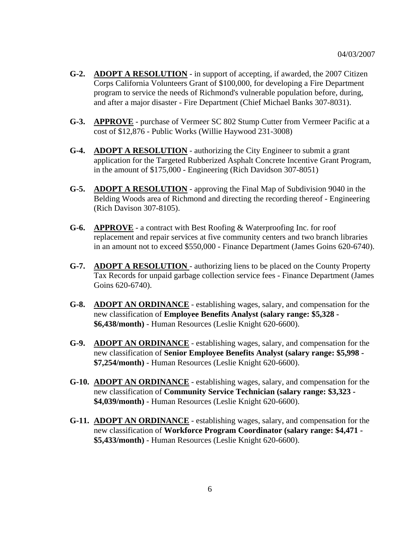- **G-2. ADOPT A RESOLUTION** in support of accepting, if awarded, the 2007 Citizen Corps California Volunteers Grant of \$100,000, for developing a Fire Department program to service the needs of Richmond's vulnerable population before, during, and after a major disaster - Fire Department (Chief Michael Banks 307-8031).
- **G-3. APPROVE** purchase of Vermeer SC 802 Stump Cutter from Vermeer Pacific at a cost of \$12,876 - Public Works (Willie Haywood 231-3008)
- **G-4. ADOPT A RESOLUTION** authorizing the City Engineer to submit a grant application for the Targeted Rubberized Asphalt Concrete Incentive Grant Program, in the amount of \$175,000 - Engineering (Rich Davidson 307-8051)
- **G-5. ADOPT A RESOLUTION** approving the Final Map of Subdivision 9040 in the Belding Woods area of Richmond and directing the recording thereof - Engineering (Rich Davison 307-8105).
- **G-6. APPROVE** a contract with Best Roofing & Waterproofing Inc. for roof replacement and repair services at five community centers and two branch libraries in an amount not to exceed \$550,000 - Finance Department (James Goins 620-6740).
- **G-7. ADOPT A RESOLUTION**  authorizing liens to be placed on the County Property Tax Records for unpaid garbage collection service fees - Finance Department (James Goins 620-6740).
- **G-8. ADOPT AN ORDINANCE** establishing wages, salary, and compensation for the new classification of **Employee Benefits Analyst (salary range: \$5,328 - \$6,438/month)** - Human Resources (Leslie Knight 620-6600).
- **G-9. ADOPT AN ORDINANCE** establishing wages, salary, and compensation for the new classification of **Senior Employee Benefits Analyst (salary range: \$5,998 - \$7,254/month)** - Human Resources (Leslie Knight 620-6600).
- **G-10. ADOPT AN ORDINANCE** establishing wages, salary, and compensation for the new classification of **Community Service Technician (salary range: \$3,323 - \$4,039/month)** - Human Resources (Leslie Knight 620-6600).
- **G-11. ADOPT AN ORDINANCE** establishing wages, salary, and compensation for the new classification of **Workforce Program Coordinator (salary range: \$4,471 - \$5,433/month)** - Human Resources (Leslie Knight 620-6600).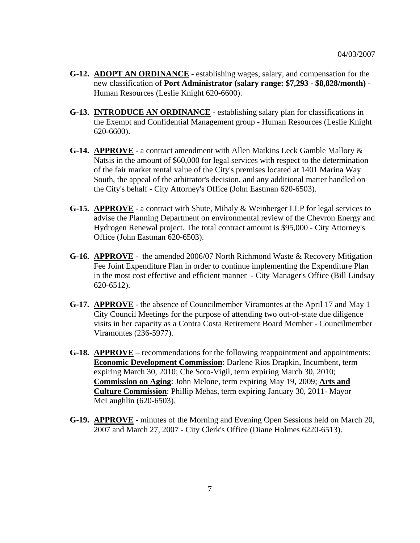- **G-12. ADOPT AN ORDINANCE** establishing wages, salary, and compensation for the new classification of **Port Administrator (salary range: \$7,293 - \$8,828/month)** - Human Resources (Leslie Knight 620-6600).
- **G-13. INTRODUCE AN ORDINANCE** establishing salary plan for classifications in the Exempt and Confidential Management group - Human Resources (Leslie Knight 620-6600).
- **G-14. APPROVE** a contract amendment with Allen Matkins Leck Gamble Mallory & Natsis in the amount of \$60,000 for legal services with respect to the determination of the fair market rental value of the City's premises located at 1401 Marina Way South, the appeal of the arbitrator's decision, and any additional matter handled on the City's behalf - City Attorney's Office (John Eastman 620-6503).
- **G-15. APPROVE** a contract with Shute, Mihaly & Weinberger LLP for legal services to advise the Planning Department on environmental review of the Chevron Energy and Hydrogen Renewal project. The total contract amount is \$95,000 - City Attorney's Office (John Eastman 620-6503).
- **G-16. APPROVE** the amended 2006/07 North Richmond Waste & Recovery Mitigation Fee Joint Expenditure Plan in order to continue implementing the Expenditure Plan in the most cost effective and efficient manner - City Manager's Office (Bill Lindsay 620-6512).
- **G-17. APPROVE** the absence of Councilmember Viramontes at the April 17 and May 1 City Council Meetings for the purpose of attending two out-of-state due diligence visits in her capacity as a Contra Costa Retirement Board Member - Councilmember Viramontes (236-5977).
- **G-18. APPROVE** recommendations for the following reappointment and appointments: **Economic Development Commission**: Darlene Rios Drapkin, Incumbent, term expiring March 30, 2010; Che Soto-Vigil, term expiring March 30, 2010; **Commission on Aging**: John Melone, term expiring May 19, 2009; **Arts and Culture Commission**: Phillip Mehas, term expiring January 30, 2011- Mayor McLaughlin (620-6503).
- **G-19. APPROVE** minutes of the Morning and Evening Open Sessions held on March 20, 2007 and March 27, 2007 - City Clerk's Office (Diane Holmes 6220-6513).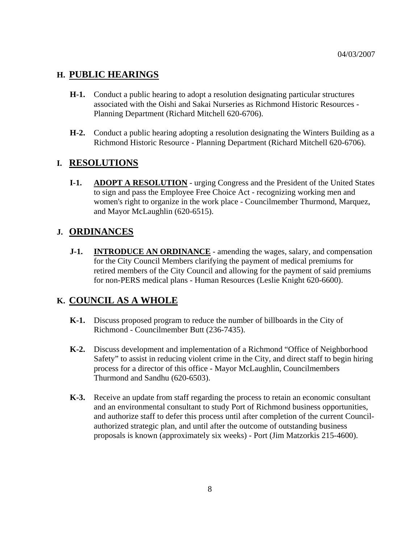### **H. PUBLIC HEARINGS**

- **H-1.** Conduct a public hearing to adopt a resolution designating particular structures associated with the Oishi and Sakai Nurseries as Richmond Historic Resources - Planning Department (Richard Mitchell 620-6706).
- **H-2.** Conduct a public hearing adopting a resolution designating the Winters Building as a Richmond Historic Resource - Planning Department (Richard Mitchell 620-6706).

#### **I. RESOLUTIONS**

**I-1. ADOPT A RESOLUTION** - urging Congress and the President of the United States to sign and pass the Employee Free Choice Act - recognizing working men and women's right to organize in the work place - Councilmember Thurmond, Marquez, and Mayor McLaughlin (620-6515).

#### **J. ORDINANCES**

**J-1. INTRODUCE AN ORDINANCE** - amending the wages, salary, and compensation for the City Council Members clarifying the payment of medical premiums for retired members of the City Council and allowing for the payment of said premiums for non-PERS medical plans - Human Resources (Leslie Knight 620-6600).

#### **K. COUNCIL AS A WHOLE**

- **K-1.** Discuss proposed program to reduce the number of billboards in the City of Richmond - Councilmember Butt (236-7435).
- **K-2.** Discuss development and implementation of a Richmond "Office of Neighborhood Safety" to assist in reducing violent crime in the City, and direct staff to begin hiring process for a director of this office - Mayor McLaughlin, Councilmembers Thurmond and Sandhu (620-6503).
- **K-3.** Receive an update from staff regarding the process to retain an economic consultant and an environmental consultant to study Port of Richmond business opportunities, and authorize staff to defer this process until after completion of the current Councilauthorized strategic plan, and until after the outcome of outstanding business proposals is known (approximately six weeks) - Port (Jim Matzorkis 215-4600).